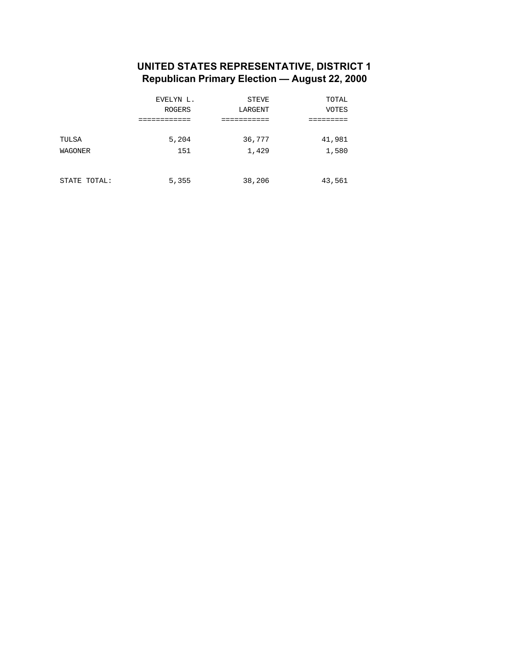#### **UNITED STATES REPRESENTATIVE, DISTRICT 1 Republican Primary Election — August 22, 2000**

|              | EVELYN L.     | STEVE     | TOTAL        |
|--------------|---------------|-----------|--------------|
|              | <b>ROGERS</b> | LARGENT   | <b>VOTES</b> |
|              |               | ,,,,,,,,, |              |
|              |               |           |              |
| TULSA        | 5,204         | 36,777    | 41,981       |
| WAGONER      | 151           | 1,429     | 1,580        |
|              |               |           |              |
|              |               |           |              |
| STATE TOTAL: | 5,355         | 38,206    | 43,561       |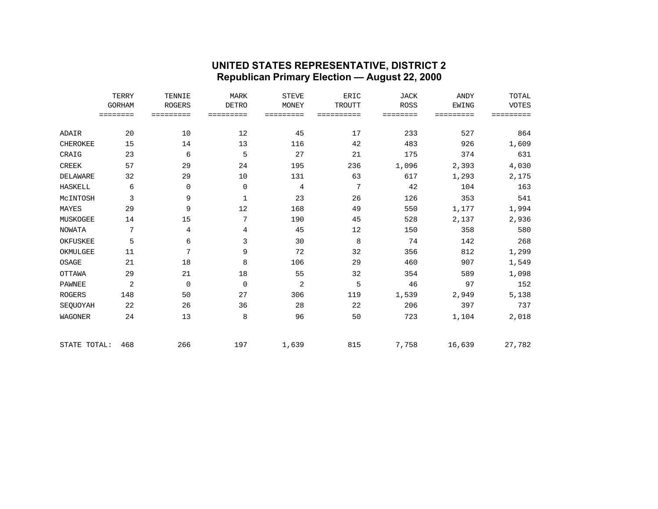#### **UNITED STATES REPRESENTATIVE, DISTRICT 2 Republican Primary Election — August 22, 2000**

|                 | TERRY         | TENNIE        | <b>MARK</b>  | <b>STEVE</b>   | <b>ERIC</b>   | <b>JACK</b> | <b>ANDY</b>  | TOTAL        |
|-----------------|---------------|---------------|--------------|----------------|---------------|-------------|--------------|--------------|
|                 | <b>GORHAM</b> | <b>ROGERS</b> | <b>DETRO</b> | MONEY          | <b>TROUTT</b> | <b>ROSS</b> | <b>EWING</b> | <b>VOTES</b> |
|                 |               | =========     | =========    | =========      | ==========    | ========    | =========    | =========    |
|                 |               |               |              |                |               |             |              |              |
| ADAIR           | 20            | 10            | 12           | 45             | 17            | 233         | 527          | 864          |
| CHEROKEE        | 15            | 14            | 13           | 116            | 42            | 483         | 926          | 1,609        |
| CRAIG           | 23            | 6             | 5            | 27             | 21            | 175         | 374          | 631          |
| <b>CREEK</b>    | 57            | 29            | 24           | 195            | 236           | 1,096       | 2,393        | 4,030        |
| <b>DELAWARE</b> | 32            | 29            | 10           | 131            | 63            | 617         | 1,293        | 2,175        |
| <b>HASKELL</b>  | 6             | 0             | $\mathbf 0$  | 4              | 7             | 42          | 104          | 163          |
| MCINTOSH        | 3             | 9             | $\mathbf{1}$ | 23             | 26            | 126         | 353          | 541          |
| MAYES           | 29            | 9             | 12           | 168            | 49            | 550         | 1,177        | 1,994        |
| MUSKOGEE        | 14            | 15            | 7            | 190            | 45            | 528         | 2,137        | 2,936        |
| <b>NOWATA</b>   | 7             | 4             | 4            | 45             | 12            | 150         | 358          | 580          |
| OKFUSKEE        | 5             | 6             | 3            | 30             | 8             | 74          | 142          | 268          |
| OKMULGEE        | 11            | 7             | 9            | 72             | 32            | 356         | 812          | 1,299        |
| OSAGE           | 21            | 18            | 8            | 106            | 29            | 460         | 907          | 1,549        |
| <b>OTTAWA</b>   | 29            | 21            | 18           | 55             | 32            | 354         | 589          | 1,098        |
| <b>PAWNEE</b>   | 2             | 0             | $\mathbf 0$  | $\overline{2}$ | 5             | 46          | 97           | 152          |
| <b>ROGERS</b>   | 148           | 50            | 27           | 306            | 119           | 1,539       | 2,949        | 5,138        |
| SEQUOYAH        | 22            | 26            | 36           | 28             | 22            | 206         | 397          | 737          |
| <b>WAGONER</b>  | 24            | 13            | 8            | 96             | 50            | 723         | 1,104        | 2,018        |
| STATE TOTAL:    | 468           | 266           | 197          | 1,639          | 815           | 7,758       | 16,639       | 27,782       |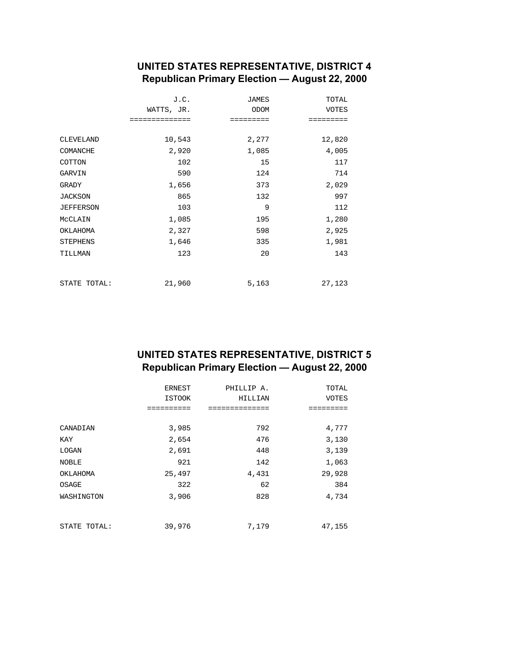## **UNITED STATES REPRESENTATIVE, DISTRICT 4 Republican Primary Election — August 22, 2000**

|                  | J.C.           | <b>JAMES</b> | TOTAL        |
|------------------|----------------|--------------|--------------|
|                  | WATTS, JR.     | ODOM         | <b>VOTES</b> |
|                  | ============== | =========    | =========    |
|                  |                |              |              |
| <b>CLEVELAND</b> | 10,543         | 2,277        | 12,820       |
| COMANCHE         | 2,920          | 1,085        | 4,005        |
| COTTON           | 102            | 15           | 117          |
| GARVIN           | 590            | 124          | 714          |
| GRADY            | 1,656          | 373          | 2,029        |
| <b>JACKSON</b>   | 865            | 132          | 997          |
| <b>JEFFERSON</b> | 103            | 9            | 112          |
| MCCLAIN          | 1,085          | 195          | 1,280        |
| OKLAHOMA         | 2,327          | 598          | 2,925        |
| <b>STEPHENS</b>  | 1,646          | 335          | 1,981        |
| TILLMAN          | 123            | 20           | 143          |
|                  |                |              |              |
| STATE TOTAL:     | 21,960         | 5,163        | 27,123       |

# **UNITED STATES REPRESENTATIVE, DISTRICT 5 Republican Primary Election — August 22, 2000**

|              | ERNEST<br><b>ISTOOK</b> | PHILLIP A.<br>HILLIAN | TOTAL<br><b>VOTES</b> |
|--------------|-------------------------|-----------------------|-----------------------|
|              | ========                | ,,,,,,,,,,,,,,        | ------                |
| CANADIAN     | 3,985                   | 792                   | 4,777                 |
| KAY          | 2,654                   | 476                   | 3,130                 |
| LOGAN        | 2,691                   | 448                   | 3,139                 |
| <b>NOBLE</b> | 921                     | 142                   | 1,063                 |
| OKLAHOMA     | 25,497                  | 4,431                 | 29,928                |
| OSAGE        | 322                     | 62                    | 384                   |
| WASHINGTON   | 3,906                   | 828                   | 4,734                 |
| STATE TOTAL: | 39,976                  | 7,179                 | 47,155                |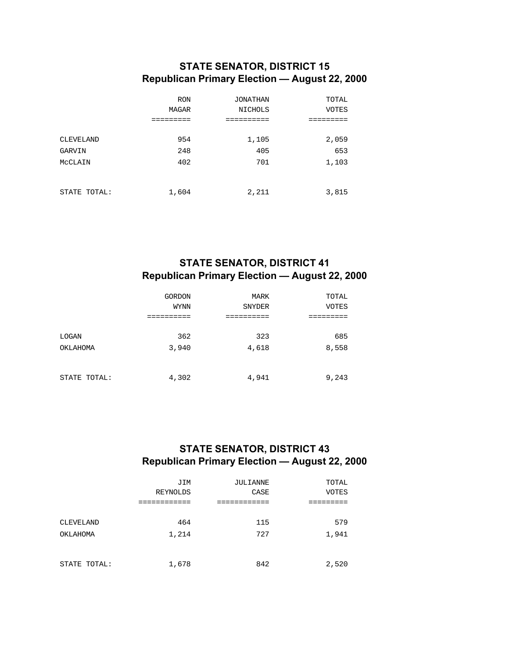## **STATE SENATOR, DISTRICT 15 Republican Primary Election — August 22, 2000**

|                  | <b>RON</b> | JONATHAN       | TOTAL        |
|------------------|------------|----------------|--------------|
|                  | MAGAR      | <b>NICHOLS</b> | <b>VOTES</b> |
|                  |            |                |              |
| <b>CLEVELAND</b> | 954        | 1,105          | 2,059        |
| GARVIN           | 248        | 405            | 653          |
| MCCLAIN          | 402        | 701            | 1,103        |
|                  |            |                |              |
| STATE TOTAL:     | 1,604      | 2,211          | 3,815        |

# **STATE SENATOR, DISTRICT 41 Republican Primary Election — August 22, 2000**

|              | <b>GORDON</b> | MARK          | TOTAL        |
|--------------|---------------|---------------|--------------|
|              | <b>WYNN</b>   | <b>SNYDER</b> | <b>VOTES</b> |
|              | ,=======      |               |              |
|              |               |               |              |
| LOGAN        | 362           | 323           | 685          |
| OKLAHOMA     | 3,940         | 4,618         | 8,558        |
|              |               |               |              |
|              |               |               |              |
| STATE TOTAL: | 4,302         | 4,941         | 9,243        |

### **STATE SENATOR, DISTRICT 43 Republican Primary Election — August 22, 2000**

|              | JIM      | JULIANNE | TOTAL        |
|--------------|----------|----------|--------------|
|              | REYNOLDS | CASE     | <b>VOTES</b> |
|              |          |          |              |
|              |          |          |              |
| CLEVELAND    | 464      | 115      | 579          |
| OKLAHOMA     | 1,214    | 727      | 1,941        |
|              |          |          |              |
|              |          |          |              |
| STATE TOTAL: | 1,678    | 842      | 2,520        |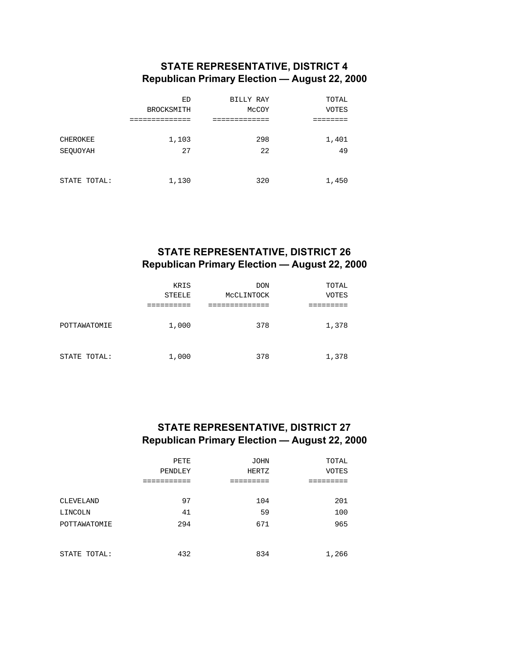## **STATE REPRESENTATIVE, DISTRICT 4 Republican Primary Election — August 22, 2000**

|              | ED                | BILLY RAY | TOTAL        |  |
|--------------|-------------------|-----------|--------------|--|
|              | <b>BROCKSMITH</b> | MCCOY     | <b>VOTES</b> |  |
|              |                   |           |              |  |
| CHEROKEE     | 1,103             | 298       | 1,401        |  |
|              |                   |           |              |  |
| SEOUOYAH     | 27                | 22        | 49           |  |
|              |                   |           |              |  |
|              |                   |           |              |  |
| STATE TOTAL: | 1,130             | 320       | 1,450        |  |
|              |                   |           |              |  |

### **STATE REPRESENTATIVE, DISTRICT 26 Republican Primary Election — August 22, 2000**

|              | KRIS<br><b>STEELE</b> | <b>DON</b><br>MCCLINTOCK | TOTAL<br><b>VOTES</b> |
|--------------|-----------------------|--------------------------|-----------------------|
| POTTAWATOMIE | 1,000                 | 378                      | 1,378                 |
| STATE TOTAL: | 1,000                 | 378                      | 1,378                 |

## **STATE REPRESENTATIVE, DISTRICT 27 Republican Primary Election — August 22, 2000**

|              | PETE    | <b>JOHN</b>  | TOTAL        |
|--------------|---------|--------------|--------------|
|              | PENDLEY | <b>HERTZ</b> | <b>VOTES</b> |
|              |         |              |              |
|              |         |              |              |
| CLEVELAND    | 97      | 104          | 201          |
| LINCOLN      | 41      | 59           | 100          |
| POTTAWATOMIE | 294     | 671          | 965          |
|              |         |              |              |
|              |         |              |              |
| STATE TOTAL: | 432     | 834          | 1,266        |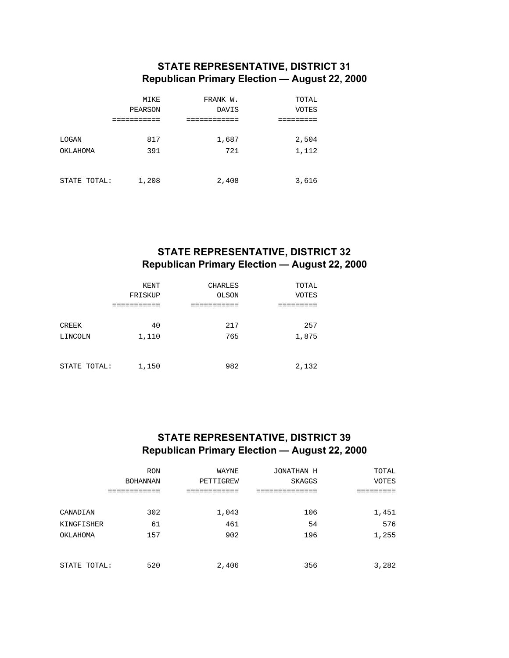## **STATE REPRESENTATIVE, DISTRICT 31 Republican Primary Election — August 22, 2000**

|              | MIKE      | FRANK W.     | TOTAL        |
|--------------|-----------|--------------|--------------|
|              | PEARSON   | <b>DAVIS</b> | <b>VOTES</b> |
|              | --------- |              |              |
| LOGAN        | 817       | 1,687        | 2,504        |
| OKLAHOMA     | 391       | 721          | 1,112        |
|              |           |              |              |
| STATE TOTAL: | 1,208     | 2,408        | 3,616        |

### **STATE REPRESENTATIVE, DISTRICT 32 Republican Primary Election — August 22, 2000**

|              | KENT      | <b>CHARLES</b> | TOTAL |
|--------------|-----------|----------------|-------|
|              | FRISKUP   | OLSON          | VOTES |
|              | --------- |                |       |
| CREEK        | 40        | 217            | 257   |
| LINCOLN      | 1,110     | 765            | 1,875 |
|              |           |                |       |
| STATE TOTAL: | 1,150     | 982            | 2,132 |

## **STATE REPRESENTATIVE, DISTRICT 39 Republican Primary Election — August 22, 2000**

|              | <b>RON</b>      | WAYNE     | JONATHAN H    | TOTAL        |
|--------------|-----------------|-----------|---------------|--------------|
|              | <b>BOHANNAN</b> | PETTIGREW | <b>SKAGGS</b> | <b>VOTES</b> |
|              |                 |           |               |              |
|              |                 |           |               |              |
| CANADIAN     | 302             | 1,043     | 106           | 1,451        |
| KINGFISHER   | 61              | 461       | 54            | 576          |
| OKLAHOMA     | 157             | 902       | 196           | 1,255        |
|              |                 |           |               |              |
|              |                 |           |               |              |
| STATE TOTAL: | 520             | 2,406     | 356           | 3,282        |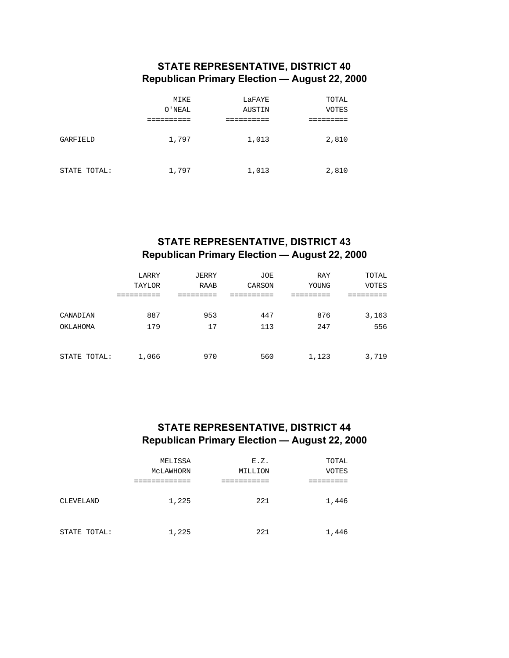## **STATE REPRESENTATIVE, DISTRICT 40 Republican Primary Election — August 22, 2000**

|              | MIKE   | LaFAYE | TOTAL |
|--------------|--------|--------|-------|
|              | O'NEAL | AUSTIN | VOTES |
|              |        |        |       |
| GARFIELD     | 1,797  | 1,013  | 2,810 |
| STATE TOTAL: | 1,797  | 1,013  | 2,810 |

# **STATE REPRESENTATIVE, DISTRICT 43 Republican Primary Election — August 22, 2000**

|              | LARRY  | JERRY | JOE    | RAY   | TOTAL        |
|--------------|--------|-------|--------|-------|--------------|
|              | TAYLOR | RAAB  | CARSON | YOUNG | <b>VOTES</b> |
|              |        |       |        |       |              |
|              |        |       |        |       |              |
| CANADIAN     | 887    | 953   | 447    | 876   | 3,163        |
| OKLAHOMA     | 179    | 17    | 113    | 247   | 556          |
|              |        |       |        |       |              |
|              |        |       |        |       |              |
| STATE TOTAL: | 1,066  | 970   | 560    | 1,123 | 3,719        |

## **STATE REPRESENTATIVE, DISTRICT 44 Republican Primary Election — August 22, 2000**

|              | MELISSA<br>MCLAWHORN | E.Z.<br>MILLION | TOTAL<br><b>VOTES</b> |
|--------------|----------------------|-----------------|-----------------------|
| CLEVELAND    | 1,225                | 221             | 1,446                 |
| STATE TOTAL: | 1,225                | 221             | 1,446                 |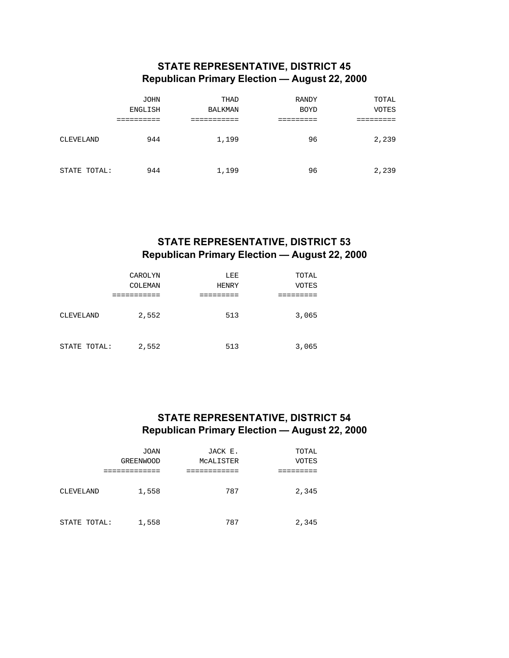## **STATE REPRESENTATIVE, DISTRICT 45 Republican Primary Election — August 22, 2000**

|              | <b>JOHN</b>    | THAD           | <b>RANDY</b> | TOTAL        |
|--------------|----------------|----------------|--------------|--------------|
|              | <b>ENGLISH</b> | <b>BALKMAN</b> | <b>BOYD</b>  | <b>VOTES</b> |
|              |                |                |              |              |
| CLEVELAND    | 944            | 1,199          | 96           | 2,239        |
| STATE TOTAL: | 944            | 1,199          | 96           | 2,239        |

## **STATE REPRESENTATIVE, DISTRICT 53 Republican Primary Election — August 22, 2000**

|                  | CAROLYN        | LEE          | TOTAL        |
|------------------|----------------|--------------|--------------|
|                  | <b>COLEMAN</b> | <b>HENRY</b> | <b>VOTES</b> |
|                  |                |              |              |
| <b>CLEVELAND</b> | 2,552          | 513          | 3,065        |
| STATE TOTAL:     | 2,552          | 513          | 3,065        |

### **STATE REPRESENTATIVE, DISTRICT 54 Republican Primary Election — August 22, 2000**

|              | JOAN             | JACK E.   | TOTAL        |
|--------------|------------------|-----------|--------------|
|              | <b>GREENWOOD</b> | MCALISTER | <b>VOTES</b> |
|              |                  |           |              |
| CLEVELAND    | 1,558            | 787       | 2,345        |
| STATE TOTAL: | 1,558            | 787       | 2,345        |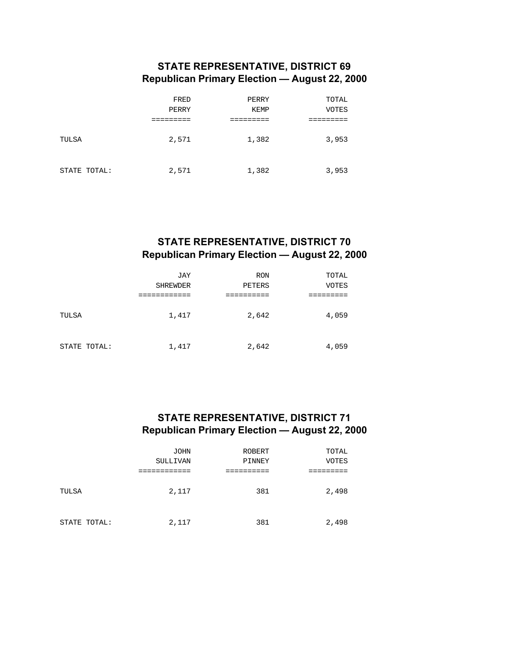## **STATE REPRESENTATIVE, DISTRICT 69 Republican Primary Election — August 22, 2000**

|              | FRED  | PERRY       | TOTAL |
|--------------|-------|-------------|-------|
|              | PERRY | <b>KEMP</b> | VOTES |
|              |       |             |       |
| TULSA        | 2,571 | 1,382       | 3,953 |
| STATE TOTAL: | 2,571 | 1,382       | 3,953 |

## **STATE REPRESENTATIVE, DISTRICT 70 Republican Primary Election — August 22, 2000**

|              | JAY             | <b>RON</b> | TOTAL        |
|--------------|-----------------|------------|--------------|
|              | <b>SHREWDER</b> | PETERS     | <b>VOTES</b> |
|              |                 |            |              |
| TULSA        | 1,417           | 2,642      | 4,059        |
| STATE TOTAL: | 1,417           | 2,642      | 4,059        |

### **STATE REPRESENTATIVE, DISTRICT 71 Republican Primary Election — August 22, 2000**

|              | JOHN      | <b>ROBERT</b> | TOTAL        |
|--------------|-----------|---------------|--------------|
|              | SULLIVAN  | PINNEY        | <b>VOTES</b> |
|              | _________ |               |              |
| TULSA        | 2,117     | 381           | 2,498        |
| STATE TOTAL: | 2,117     | 381           | 2,498        |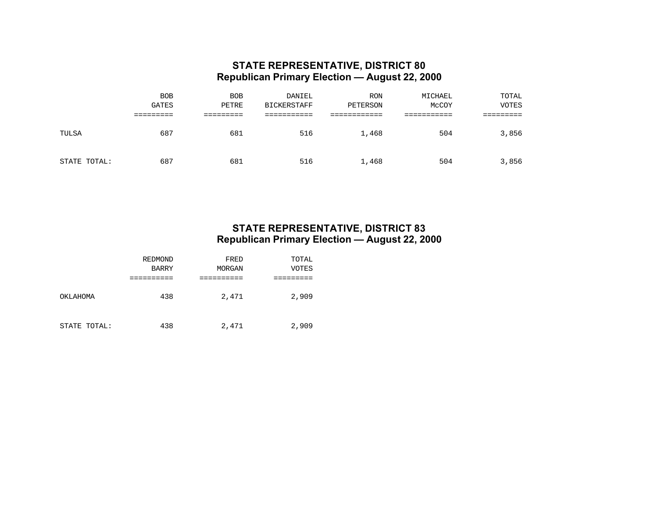#### **STATE REPRESENTATIVE, DISTRICT 80 Republican Primary Election — August 22, 2000**

|              | <b>BOB</b><br><b>GATES</b> | <b>BOB</b><br>PETRE | DANIEL<br><b>BICKERSTAFF</b> | <b>RON</b><br>PETERSON | MICHAEL<br>McCOY | TOTAL<br>VOTES |
|--------------|----------------------------|---------------------|------------------------------|------------------------|------------------|----------------|
|              |                            |                     |                              |                        |                  |                |
| TULSA        | 687                        | 681                 | 516                          | 1,468                  | 504              | 3,856          |
| STATE TOTAL: | 687                        | 681                 | 516                          | 1,468                  | 504              | 3,856          |

#### **STATE REPRESENTATIVE, DISTRICT 83 Republican Primary Election — August 22, 2000**

|              | REDMOND      | FRED   | TOTAL        |
|--------------|--------------|--------|--------------|
|              | <b>BARRY</b> | MORGAN | <b>VOTES</b> |
|              |              |        |              |
| OKLAHOMA     | 438          | 2,471  | 2,909        |
| STATE TOTAL: | 438          | 2,471  | 2,909        |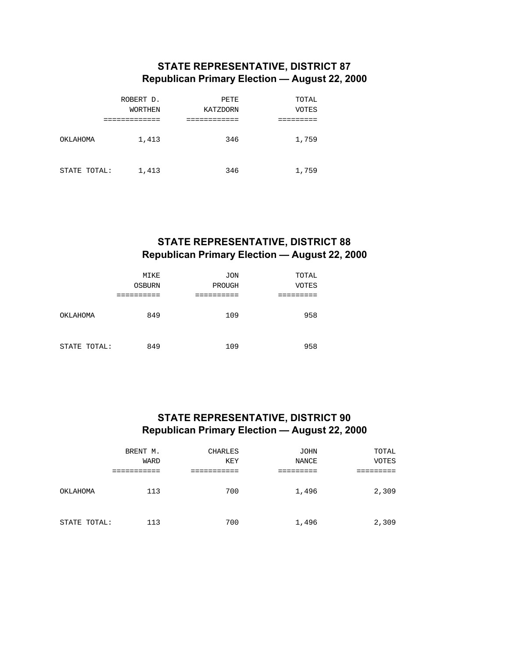## **STATE REPRESENTATIVE, DISTRICT 87 Republican Primary Election — August 22, 2000**

|              | ROBERT D. | PETE     | TOTAL |
|--------------|-----------|----------|-------|
|              | WORTHEN   | KATZDORN | VOTES |
|              |           |          |       |
| OKLAHOMA     | 1,413     | 346      | 1,759 |
| STATE TOTAL: | 1,413     | 346      | 1,759 |

# **STATE REPRESENTATIVE, DISTRICT 88 Republican Primary Election — August 22, 2000**

|              | MIKE          | <b>JON</b> | TOTAL        |
|--------------|---------------|------------|--------------|
|              | <b>OSBURN</b> | PROUGH     | <b>VOTES</b> |
|              |               |            |              |
| OKLAHOMA     | 849           | 109        | 958          |
| STATE TOTAL: | 849           | 109        | 958          |

### **STATE REPRESENTATIVE, DISTRICT 90 Republican Primary Election — August 22, 2000**

|              | BRENT M.    | <b>CHARLES</b> | <b>JOHN</b> | TOTAL        |
|--------------|-------------|----------------|-------------|--------------|
|              | <b>WARD</b> | <b>KEY</b>     | NANCE       | <b>VOTES</b> |
|              |             |                |             |              |
| OKLAHOMA     | 113         | 700            | 1,496       | 2,309        |
| STATE TOTAL: | 113         | 700            | 1,496       | 2,309        |